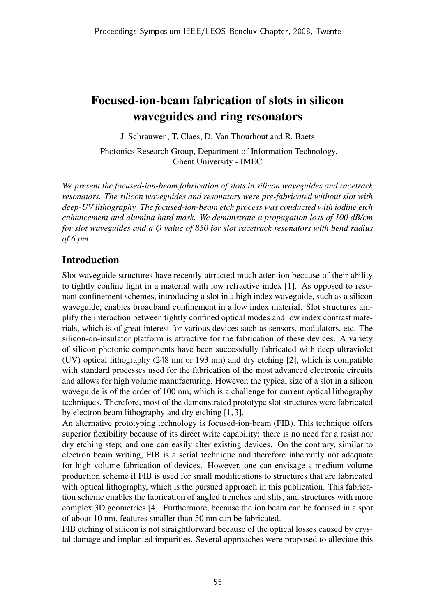# Focused-ion-beam fabrication of slots in silicon waveguides and ring resonators

J. Schrauwen, T. Claes, D. Van Thourhout and R. Baets

Photonics Research Group, Department of Information Technology, Ghent University - IMEC

*We present the focused-ion-beam fabrication of slots in silicon waveguides and racetrack resonators. The silicon waveguides and resonators were pre-fabricated without slot with deep-UV lithography. The focused-ion-beam etch process was conducted with iodine etch enhancement and alumina hard mask. We demonstrate a propagation loss of 100 dB/cm for slot waveguides and a Q value of 850 for slot racetrack resonators with bend radius of 6 µm.*

## Introduction

Slot waveguide structures have recently attracted much attention because of their ability to tightly confine light in a material with low refractive index [1]. As opposed to resonant confinement schemes, introducing a slot in a high index waveguide, such as a silicon waveguide, enables broadband confinement in a low index material. Slot structures amplify the interaction between tightly confined optical modes and low index contrast materials, which is of great interest for various devices such as sensors, modulators, etc. The silicon-on-insulator platform is attractive for the fabrication of these devices. A variety of silicon photonic components have been successfully fabricated with deep ultraviolet (UV) optical lithography (248 nm or 193 nm) and dry etching [2], which is compatible with standard processes used for the fabrication of the most advanced electronic circuits and allows for high volume manufacturing. However, the typical size of a slot in a silicon waveguide is of the order of 100 nm, which is a challenge for current optical lithography techniques. Therefore, most of the demonstrated prototype slot structures were fabricated by electron beam lithography and dry etching [1, 3].

An alternative prototyping technology is focused-ion-beam (FIB). This technique offers superior flexibility because of its direct write capability: there is no need for a resist nor dry etching step; and one can easily alter existing devices. On the contrary, similar to electron beam writing, FIB is a serial technique and therefore inherently not adequate for high volume fabrication of devices. However, one can envisage a medium volume production scheme if FIB is used for small modifications to structures that are fabricated with optical lithography, which is the pursued approach in this publication. This fabrication scheme enables the fabrication of angled trenches and slits, and structures with more complex 3D geometries [4]. Furthermore, because the ion beam can be focused in a spot of about 10 nm, features smaller than 50 nm can be fabricated.

FIB etching of silicon is not straightforward because of the optical losses caused by crystal damage and implanted impurities. Several approaches were proposed to alleviate this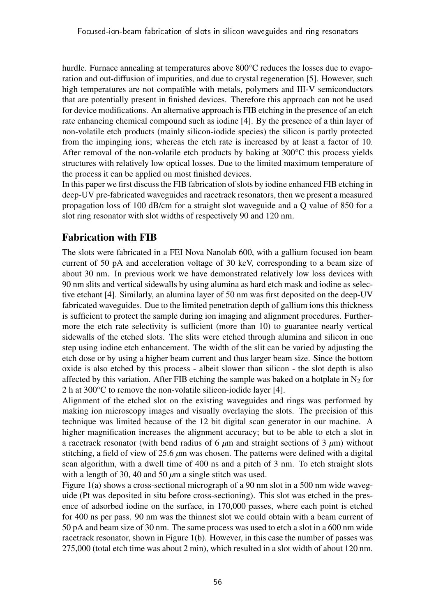hurdle. Furnace annealing at temperatures above 800°C reduces the losses due to evaporation and out-diffusion of impurities, and due to crystal regeneration [5]. However, such high temperatures are not compatible with metals, polymers and III-V semiconductors that are potentially present in finished devices. Therefore this approach can not be used for device modifications. An alternative approach is FIB etching in the presence of an etch rate enhancing chemical compound such as iodine [4]. By the presence of a thin layer of non-volatile etch products (mainly silicon-iodide species) the silicon is partly protected from the impinging ions; whereas the etch rate is increased by at least a factor of 10. After removal of the non-volatile etch products by baking at 300°C this process yields structures with relatively low optical losses. Due to the limited maximum temperature of the process it can be applied on most finished devices.

In this paper we first discuss the FIB fabrication of slots by iodine enhanced FIB etching in deep-UV pre-fabricated waveguides and racetrack resonators, then we present a measured propagation loss of 100 dB/cm for a straight slot waveguide and a Q value of 850 for a slot ring resonator with slot widths of respectively 90 and 120 nm.

# Fabrication with FIB

The slots were fabricated in a FEI Nova Nanolab 600, with a gallium focused ion beam current of 50 pA and acceleration voltage of 30 keV, corresponding to a beam size of about 30 nm. In previous work we have demonstrated relatively low loss devices with 90 nm slits and vertical sidewalls by using alumina as hard etch mask and iodine as selective etchant [4]. Similarly, an alumina layer of 50 nm was first deposited on the deep-UV fabricated waveguides. Due to the limited penetration depth of gallium ions this thickness is sufficient to protect the sample during ion imaging and alignment procedures. Furthermore the etch rate selectivity is sufficient (more than 10) to guarantee nearly vertical sidewalls of the etched slots. The slits were etched through alumina and silicon in one step using iodine etch enhancement. The width of the slit can be varied by adjusting the etch dose or by using a higher beam current and thus larger beam size. Since the bottom oxide is also etched by this process - albeit slower than silicon - the slot depth is also affected by this variation. After FIB etching the sample was baked on a hotplate in  $N_2$  for 2 h at 300°C to remove the non-volatile silicon-iodide layer [4].

Alignment of the etched slot on the existing waveguides and rings was performed by making ion microscopy images and visually overlaying the slots. The precision of this technique was limited because of the 12 bit digital scan generator in our machine. A higher magnification increases the alignment accuracy; but to be able to etch a slot in a racetrack resonator (with bend radius of 6 *µ*m and straight sections of 3 *µ*m) without stitching, a field of view of 25.6  $\mu$ m was chosen. The patterns were defined with a digital scan algorithm, with a dwell time of 400 ns and a pitch of 3 nm. To etch straight slots with a length of 30, 40 and 50 *µ*m a single stitch was used.

Figure 1(a) shows a cross-sectional micrograph of a 90 nm slot in a 500 nm wide waveguide (Pt was deposited in situ before cross-sectioning). This slot was etched in the presence of adsorbed iodine on the surface, in 170,000 passes, where each point is etched for 400 ns per pass. 90 nm was the thinnest slot we could obtain with a beam current of 50 pA and beam size of 30 nm. The same process was used to etch a slot in a 600 nm wide racetrack resonator, shown in Figure 1(b). However, in this case the number of passes was 275,000 (total etch time was about 2 min), which resulted in a slot width of about 120 nm.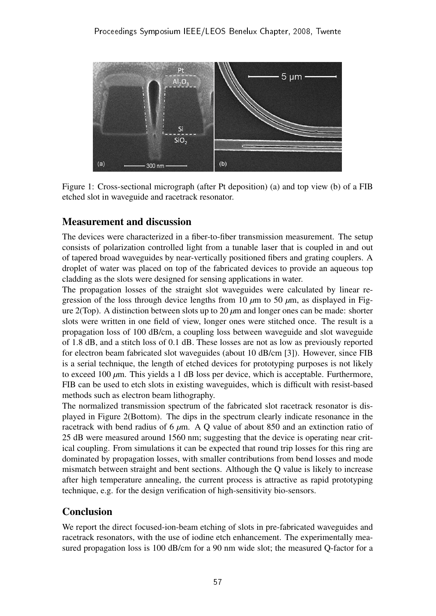

Figure 1: Cross-sectional micrograph (after Pt deposition) (a) and top view (b) of a FIB etched slot in waveguide and racetrack resonator.

## Measurement and discussion

The devices were characterized in a fiber-to-fiber transmission measurement. The setup consists of polarization controlled light from a tunable laser that is coupled in and out of tapered broad waveguides by near-vertically positioned fibers and grating couplers. A droplet of water was placed on top of the fabricated devices to provide an aqueous top cladding as the slots were designed for sensing applications in water.

The propagation losses of the straight slot waveguides were calculated by linear regression of the loss through device lengths from 10  $\mu$ m to 50  $\mu$ m, as displayed in Figure 2(Top). A distinction between slots up to 20 *µ*m and longer ones can be made: shorter slots were written in one field of view, longer ones were stitched once. The result is a propagation loss of 100 dB/cm, a coupling loss between waveguide and slot waveguide of 1.8 dB, and a stitch loss of 0.1 dB. These losses are not as low as previously reported for electron beam fabricated slot waveguides (about 10 dB/cm [3]). However, since FIB is a serial technique, the length of etched devices for prototyping purposes is not likely to exceed 100 *µ*m. This yields a 1 dB loss per device, which is acceptable. Furthermore, FIB can be used to etch slots in existing waveguides, which is difficult with resist-based methods such as electron beam lithography.

The normalized transmission spectrum of the fabricated slot racetrack resonator is displayed in Figure 2(Bottom). The dips in the spectrum clearly indicate resonance in the racetrack with bend radius of 6 *µ*m. A Q value of about 850 and an extinction ratio of 25 dB were measured around 1560 nm; suggesting that the device is operating near critical coupling. From simulations it can be expected that round trip losses for this ring are dominated by propagation losses, with smaller contributions from bend losses and mode mismatch between straight and bent sections. Although the Q value is likely to increase after high temperature annealing, the current process is attractive as rapid prototyping technique, e.g. for the design verification of high-sensitivity bio-sensors.

## Conclusion

We report the direct focused-ion-beam etching of slots in pre-fabricated waveguides and racetrack resonators, with the use of iodine etch enhancement. The experimentally measured propagation loss is 100 dB/cm for a 90 nm wide slot; the measured Q-factor for a